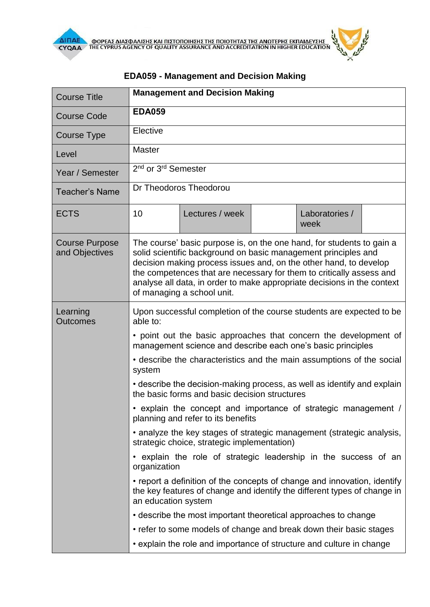| <b>Course Title</b>                     | <b>Management and Decision Making</b>                                                                                                                                                                                                                                                                                                                                                         |                                                                                                                                                      |  |                        |  |  |
|-----------------------------------------|-----------------------------------------------------------------------------------------------------------------------------------------------------------------------------------------------------------------------------------------------------------------------------------------------------------------------------------------------------------------------------------------------|------------------------------------------------------------------------------------------------------------------------------------------------------|--|------------------------|--|--|
| <b>Course Code</b>                      | <b>EDA059</b>                                                                                                                                                                                                                                                                                                                                                                                 |                                                                                                                                                      |  |                        |  |  |
| Course Type                             | Elective                                                                                                                                                                                                                                                                                                                                                                                      |                                                                                                                                                      |  |                        |  |  |
| Level                                   | <b>Master</b>                                                                                                                                                                                                                                                                                                                                                                                 |                                                                                                                                                      |  |                        |  |  |
| Year / Semester                         | 2 <sup>nd</sup> or 3 <sup>rd</sup> Semester                                                                                                                                                                                                                                                                                                                                                   |                                                                                                                                                      |  |                        |  |  |
| <b>Teacher's Name</b>                   | Dr Theodoros Theodorou                                                                                                                                                                                                                                                                                                                                                                        |                                                                                                                                                      |  |                        |  |  |
| <b>ECTS</b>                             | 10                                                                                                                                                                                                                                                                                                                                                                                            | Lectures / week                                                                                                                                      |  | Laboratories /<br>week |  |  |
| <b>Course Purpose</b><br>and Objectives | The course' basic purpose is, on the one hand, for students to gain a<br>solid scientific background on basic management principles and<br>decision making process issues and, on the other hand, to develop<br>the competences that are necessary for them to critically assess and<br>analyse all data, in order to make appropriate decisions in the context<br>of managing a school unit. |                                                                                                                                                      |  |                        |  |  |
| Learning<br><b>Outcomes</b>             | Upon successful completion of the course students are expected to be<br>able to:                                                                                                                                                                                                                                                                                                              |                                                                                                                                                      |  |                        |  |  |
|                                         | • point out the basic approaches that concern the development of<br>management science and describe each one's basic principles<br>• describe the characteristics and the main assumptions of the social<br>system                                                                                                                                                                            |                                                                                                                                                      |  |                        |  |  |
|                                         |                                                                                                                                                                                                                                                                                                                                                                                               |                                                                                                                                                      |  |                        |  |  |
|                                         | • describe the decision-making process, as well as identify and explain<br>the basic forms and basic decision structures                                                                                                                                                                                                                                                                      |                                                                                                                                                      |  |                        |  |  |
|                                         | • explain the concept and importance of strategic management /<br>planning and refer to its benefits<br>• analyze the key stages of strategic management (strategic analysis,<br>strategic choice, strategic implementation)                                                                                                                                                                  |                                                                                                                                                      |  |                        |  |  |
|                                         |                                                                                                                                                                                                                                                                                                                                                                                               |                                                                                                                                                      |  |                        |  |  |
|                                         | • explain the role of strategic leadership in the success of an<br>organization                                                                                                                                                                                                                                                                                                               |                                                                                                                                                      |  |                        |  |  |
|                                         | an education system                                                                                                                                                                                                                                                                                                                                                                           | • report a definition of the concepts of change and innovation, identify<br>the key features of change and identify the different types of change in |  |                        |  |  |
|                                         |                                                                                                                                                                                                                                                                                                                                                                                               | • describe the most important theoretical approaches to change                                                                                       |  |                        |  |  |
|                                         |                                                                                                                                                                                                                                                                                                                                                                                               | • refer to some models of change and break down their basic stages                                                                                   |  |                        |  |  |
|                                         |                                                                                                                                                                                                                                                                                                                                                                                               | • explain the role and importance of structure and culture in change                                                                                 |  |                        |  |  |

## **EDΑ059 - Management and Decision Making**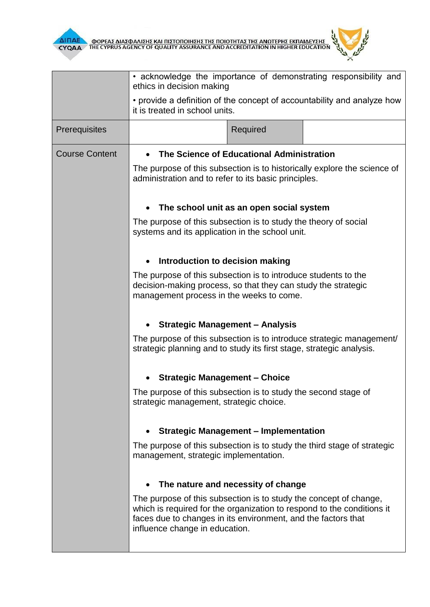



|                       | • acknowledge the importance of demonstrating responsibility and<br>ethics in decision making                                                                                                                                                  |                                                                 |  |  |  |  |
|-----------------------|------------------------------------------------------------------------------------------------------------------------------------------------------------------------------------------------------------------------------------------------|-----------------------------------------------------------------|--|--|--|--|
|                       | • provide a definition of the concept of accountability and analyze how<br>it is treated in school units.                                                                                                                                      |                                                                 |  |  |  |  |
| Prerequisites         |                                                                                                                                                                                                                                                | Required                                                        |  |  |  |  |
| <b>Course Content</b> | The Science of Educational Administration<br>The purpose of this subsection is to historically explore the science of<br>administration and to refer to its basic principles.                                                                  |                                                                 |  |  |  |  |
|                       |                                                                                                                                                                                                                                                |                                                                 |  |  |  |  |
|                       | The school unit as an open social system                                                                                                                                                                                                       |                                                                 |  |  |  |  |
|                       | systems and its application in the school unit.                                                                                                                                                                                                | The purpose of this subsection is to study the theory of social |  |  |  |  |
|                       | Introduction to decision making                                                                                                                                                                                                                |                                                                 |  |  |  |  |
|                       | The purpose of this subsection is to introduce students to the<br>decision-making process, so that they can study the strategic<br>management process in the weeks to come.                                                                    |                                                                 |  |  |  |  |
|                       | <b>Strategic Management - Analysis</b>                                                                                                                                                                                                         |                                                                 |  |  |  |  |
|                       | The purpose of this subsection is to introduce strategic management/<br>strategic planning and to study its first stage, strategic analysis.                                                                                                   |                                                                 |  |  |  |  |
|                       | <b>Strategic Management - Choice</b>                                                                                                                                                                                                           |                                                                 |  |  |  |  |
|                       | The purpose of this subsection is to study the second stage of<br>strategic management, strategic choice.                                                                                                                                      |                                                                 |  |  |  |  |
|                       | <b>Strategic Management - Implementation</b>                                                                                                                                                                                                   |                                                                 |  |  |  |  |
|                       | The purpose of this subsection is to study the third stage of strategic<br>management, strategic implementation.                                                                                                                               |                                                                 |  |  |  |  |
|                       | The nature and necessity of change                                                                                                                                                                                                             |                                                                 |  |  |  |  |
|                       | The purpose of this subsection is to study the concept of change,<br>which is required for the organization to respond to the conditions it<br>faces due to changes in its environment, and the factors that<br>influence change in education. |                                                                 |  |  |  |  |